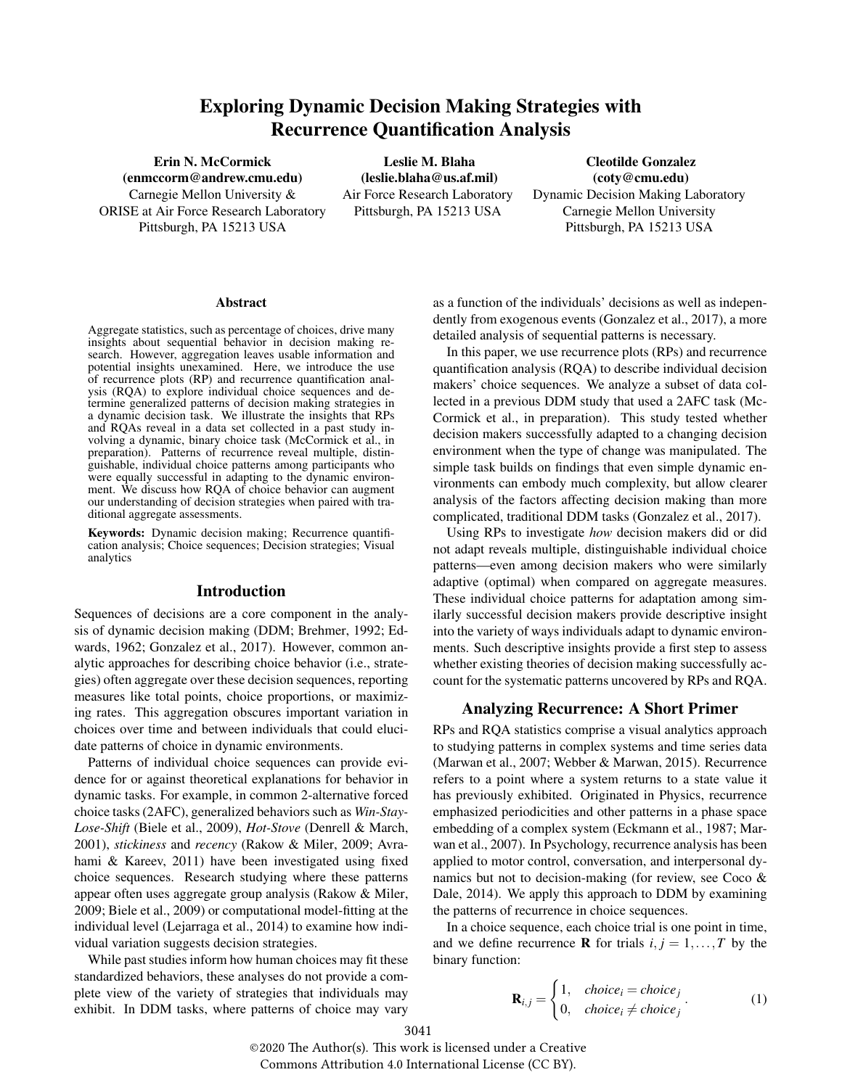# Exploring Dynamic Decision Making Strategies with Recurrence Quantification Analysis

(enmccorm@andrew.cmu.edu) (leslie.blaha@us.af.mil) (coty@cmu.edu) ORISE at Air Force Research Laboratory Pittsburgh, PA 15213 USA Carnegie Mellon University Pittsburgh, PA 15213 USA Pittsburgh, PA 15213 USA

Erin N. McCormick Leslie M. Blaha Cleotilde Gonzalez

Carnegie Mellon University & Air Force Research Laboratory Dynamic Decision Making Laboratory

#### Abstract

Aggregate statistics, such as percentage of choices, drive many insights about sequential behavior in decision making research. However, aggregation leaves usable information and potential insights unexamined. Here, we introduce the use of recurrence plots (RP) and recurrence quantification analysis (RQA) to explore individual choice sequences and determine generalized patterns of decision making strategies in a dynamic decision task. We illustrate the insights that RPs and RQAs reveal in a data set collected in a past study involving a dynamic, binary choice task (McCormick et al., in preparation). Patterns of recurrence reveal multiple, distinguishable, individual choice patterns among participants who were equally successful in adapting to the dynamic environment. We discuss how RQA of choice behavior can augment our understanding of decision strategies when paired with traditional aggregate assessments.

Keywords: Dynamic decision making; Recurrence quantification analysis; Choice sequences; Decision strategies; Visual analytics

## Introduction

Sequences of decisions are a core component in the analysis of dynamic decision making (DDM; Brehmer, 1992; Edwards, 1962; Gonzalez et al., 2017). However, common analytic approaches for describing choice behavior (i.e., strategies) often aggregate over these decision sequences, reporting measures like total points, choice proportions, or maximizing rates. This aggregation obscures important variation in choices over time and between individuals that could elucidate patterns of choice in dynamic environments.

Patterns of individual choice sequences can provide evidence for or against theoretical explanations for behavior in dynamic tasks. For example, in common 2-alternative forced choice tasks (2AFC), generalized behaviors such as *Win-Stay-Lose-Shift* (Biele et al., 2009), *Hot-Stove* (Denrell & March, 2001), *stickiness* and *recency* (Rakow & Miler, 2009; Avrahami & Kareev, 2011) have been investigated using fixed choice sequences. Research studying where these patterns appear often uses aggregate group analysis (Rakow & Miler, 2009; Biele et al., 2009) or computational model-fitting at the individual level (Lejarraga et al., 2014) to examine how individual variation suggests decision strategies.

While past studies inform how human choices may fit these standardized behaviors, these analyses do not provide a complete view of the variety of strategies that individuals may exhibit. In DDM tasks, where patterns of choice may vary as a function of the individuals' decisions as well as independently from exogenous events (Gonzalez et al., 2017), a more detailed analysis of sequential patterns is necessary.

In this paper, we use recurrence plots (RPs) and recurrence quantification analysis (RQA) to describe individual decision makers' choice sequences. We analyze a subset of data collected in a previous DDM study that used a 2AFC task (Mc-Cormick et al., in preparation). This study tested whether decision makers successfully adapted to a changing decision environment when the type of change was manipulated. The simple task builds on findings that even simple dynamic environments can embody much complexity, but allow clearer analysis of the factors affecting decision making than more complicated, traditional DDM tasks (Gonzalez et al., 2017).

Using RPs to investigate *how* decision makers did or did not adapt reveals multiple, distinguishable individual choice patterns—even among decision makers who were similarly adaptive (optimal) when compared on aggregate measures. These individual choice patterns for adaptation among similarly successful decision makers provide descriptive insight into the variety of ways individuals adapt to dynamic environments. Such descriptive insights provide a first step to assess whether existing theories of decision making successfully account for the systematic patterns uncovered by RPs and RQA.

## Analyzing Recurrence: A Short Primer

RPs and RQA statistics comprise a visual analytics approach to studying patterns in complex systems and time series data (Marwan et al., 2007; Webber & Marwan, 2015). Recurrence refers to a point where a system returns to a state value it has previously exhibited. Originated in Physics, recurrence emphasized periodicities and other patterns in a phase space embedding of a complex system (Eckmann et al., 1987; Marwan et al., 2007). In Psychology, recurrence analysis has been applied to motor control, conversation, and interpersonal dynamics but not to decision-making (for review, see Coco & Dale, 2014). We apply this approach to DDM by examining the patterns of recurrence in choice sequences.

In a choice sequence, each choice trial is one point in time, and we define recurrence **R** for trials  $i, j = 1, \ldots, T$  by the binary function:

$$
\mathbf{R}_{i,j} = \begin{cases} 1, & choice_i = choice_j \\ 0, & choice_i \neq choice_j \end{cases} . \tag{1}
$$

©2020 The Author(s). This work is licensed under a Creative Commons Attribution 4.0 International License (CC BY).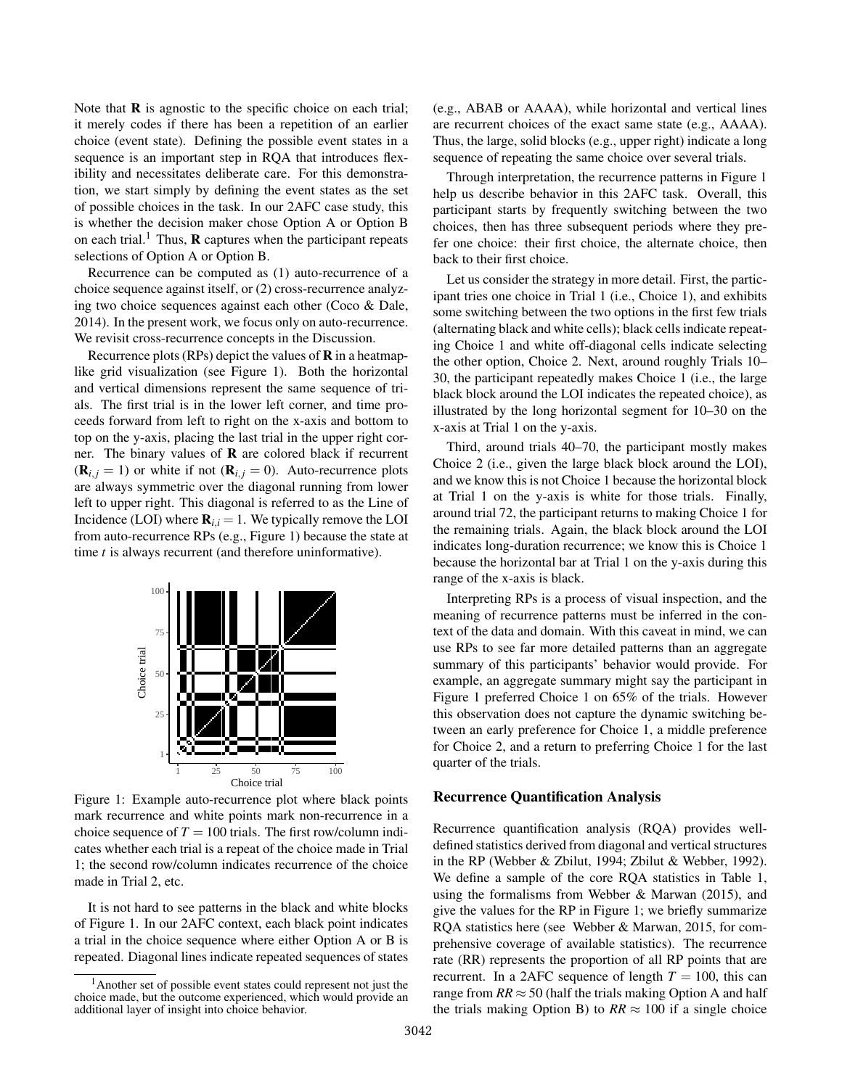Note that  **is agnostic to the specific choice on each trial;** it merely codes if there has been a repetition of an earlier choice (event state). Defining the possible event states in a sequence is an important step in RQA that introduces flexibility and necessitates deliberate care. For this demonstration, we start simply by defining the event states as the set of possible choices in the task. In our 2AFC case study, this is whether the decision maker chose Option A or Option B on each trial.<sup>1</sup> Thus, **R** captures when the participant repeats selections of Option A or Option B.

Recurrence can be computed as (1) auto-recurrence of a choice sequence against itself, or (2) cross-recurrence analyzing two choice sequences against each other (Coco & Dale, 2014). In the present work, we focus only on auto-recurrence. We revisit cross-recurrence concepts in the Discussion.

Recurrence plots (RPs) depict the values of R in a heatmaplike grid visualization (see Figure 1). Both the horizontal and vertical dimensions represent the same sequence of trials. The first trial is in the lower left corner, and time proceeds forward from left to right on the x-axis and bottom to top on the y-axis, placing the last trial in the upper right corner. The binary values of  **are colored black if recurrent**  $(\mathbf{R}_{i,j} = 1)$  or white if not  $(\mathbf{R}_{i,j} = 0)$ . Auto-recurrence plots are always symmetric over the diagonal running from lower left to upper right. This diagonal is referred to as the Line of Incidence (LOI) where  $\mathbf{R}_{i,i} = 1$ . We typically remove the LOI from auto-recurrence RPs (e.g., Figure 1) because the state at time *t* is always recurrent (and therefore uninformative).



Figure 1: Example auto-recurrence plot where black points mark recurrence and white points mark non-recurrence in a choice sequence of  $T = 100$  trials. The first row/column indicates whether each trial is a repeat of the choice made in Trial 1; the second row/column indicates recurrence of the choice made in Trial 2, etc.

It is not hard to see patterns in the black and white blocks of Figure 1. In our 2AFC context, each black point indicates a trial in the choice sequence where either Option A or B is repeated. Diagonal lines indicate repeated sequences of states (e.g., ABAB or AAAA), while horizontal and vertical lines are recurrent choices of the exact same state (e.g., AAAA). Thus, the large, solid blocks (e.g., upper right) indicate a long sequence of repeating the same choice over several trials.

Through interpretation, the recurrence patterns in Figure 1 help us describe behavior in this 2AFC task. Overall, this participant starts by frequently switching between the two choices, then has three subsequent periods where they prefer one choice: their first choice, the alternate choice, then back to their first choice.

Let us consider the strategy in more detail. First, the participant tries one choice in Trial 1 (i.e., Choice 1), and exhibits some switching between the two options in the first few trials (alternating black and white cells); black cells indicate repeating Choice 1 and white off-diagonal cells indicate selecting the other option, Choice 2. Next, around roughly Trials 10– 30, the participant repeatedly makes Choice 1 (i.e., the large black block around the LOI indicates the repeated choice), as illustrated by the long horizontal segment for 10–30 on the x-axis at Trial 1 on the y-axis.

Third, around trials 40–70, the participant mostly makes Choice 2 (i.e., given the large black block around the LOI), and we know this is not Choice 1 because the horizontal block at Trial 1 on the y-axis is white for those trials. Finally, around trial 72, the participant returns to making Choice 1 for the remaining trials. Again, the black block around the LOI indicates long-duration recurrence; we know this is Choice 1 because the horizontal bar at Trial 1 on the y-axis during this range of the x-axis is black.

Interpreting RPs is a process of visual inspection, and the meaning of recurrence patterns must be inferred in the context of the data and domain. With this caveat in mind, we can use RPs to see far more detailed patterns than an aggregate summary of this participants' behavior would provide. For example, an aggregate summary might say the participant in Figure 1 preferred Choice 1 on 65% of the trials. However this observation does not capture the dynamic switching between an early preference for Choice 1, a middle preference for Choice 2, and a return to preferring Choice 1 for the last quarter of the trials.

#### Recurrence Quantification Analysis

Recurrence quantification analysis (RQA) provides welldefined statistics derived from diagonal and vertical structures in the RP (Webber & Zbilut, 1994; Zbilut & Webber, 1992). We define a sample of the core RQA statistics in Table 1, using the formalisms from Webber & Marwan (2015), and give the values for the RP in Figure 1; we briefly summarize RQA statistics here (see Webber & Marwan, 2015, for comprehensive coverage of available statistics). The recurrence rate (RR) represents the proportion of all RP points that are recurrent. In a 2AFC sequence of length  $T = 100$ , this can range from  $RR \approx 50$  (half the trials making Option A and half the trials making Option B) to  $RR \approx 100$  if a single choice

<sup>&</sup>lt;sup>1</sup>Another set of possible event states could represent not just the choice made, but the outcome experienced, which would provide an additional layer of insight into choice behavior.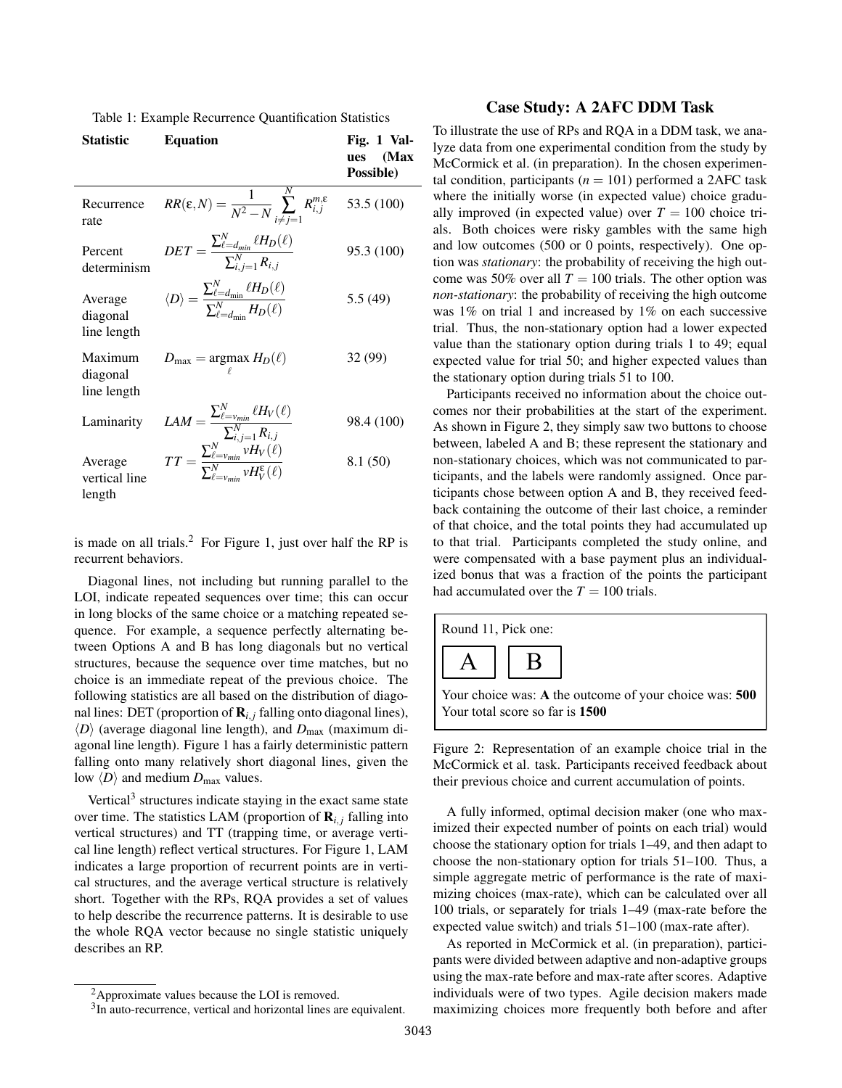Table 1: Example Recurrence Quantification Statistics

| <b>Statistic</b>                   | <b>Equation</b>                                                                                                                                                                                                         | Fig. 1 Val-<br>(Max<br>ues<br>Possible) |
|------------------------------------|-------------------------------------------------------------------------------------------------------------------------------------------------------------------------------------------------------------------------|-----------------------------------------|
| Recurrence<br>rate                 | $RR(\varepsilon,N)=\frac{1}{N^2-N}\sum_{i\neq i=1}^N R_{i,j}^{m,\varepsilon}$                                                                                                                                           | 53.5 (100)                              |
| Percent<br>determinism             | $DET = \frac{\sum_{\ell=d_{min}}^N \ell H_D(\ell)}{\sum_{i=1}^N R_{i,i}}$                                                                                                                                               | 95.3 (100)                              |
| Average<br>diagonal<br>line length | $\langle D \rangle = \frac{\sum_{\ell=d_{\min}}^N \ell H_D(\ell)}{\sum_{\ell=d}^N \, H_D(\ell)}$                                                                                                                        | 5.5(49)                                 |
| Maximum<br>diagonal<br>line length | $D_{\text{max}} = \text{argmax } H_D(\ell)$                                                                                                                                                                             | 32 (99)                                 |
| Laminarity                         | $\begin{aligned} LAM = \frac{\sum_{\ell = \nu_{min}}^N \ell H_V(\ell)}{\sum_{i,j=1}^N R_{i,j}} \ TT = \frac{\sum_{\ell = \nu_{min}}^N \nu H_V(\ell)}{\sum_{\ell = \nu_{min}}^N \nu H_V^{\epsilon}(\ell)} \end{aligned}$ | 98.4 (100)                              |
| Average<br>vertical line<br>length |                                                                                                                                                                                                                         | 8.1(50)                                 |

is made on all trials.<sup>2</sup> For Figure 1, just over half the RP is recurrent behaviors.

Diagonal lines, not including but running parallel to the LOI, indicate repeated sequences over time; this can occur in long blocks of the same choice or a matching repeated sequence. For example, a sequence perfectly alternating between Options A and B has long diagonals but no vertical structures, because the sequence over time matches, but no choice is an immediate repeat of the previous choice. The following statistics are all based on the distribution of diagonal lines: DET (proportion of  $\mathbf{R}_{i,j}$  falling onto diagonal lines),  $\langle D \rangle$  (average diagonal line length), and  $D_{\text{max}}$  (maximum diagonal line length). Figure 1 has a fairly deterministic pattern falling onto many relatively short diagonal lines, given the low  $\langle D \rangle$  and medium  $D_{\text{max}}$  values.

Vertical<sup>3</sup> structures indicate staying in the exact same state over time. The statistics LAM (proportion of  $\mathbf{R}_{i,j}$  falling into vertical structures) and TT (trapping time, or average vertical line length) reflect vertical structures. For Figure 1, LAM indicates a large proportion of recurrent points are in vertical structures, and the average vertical structure is relatively short. Together with the RPs, RQA provides a set of values to help describe the recurrence patterns. It is desirable to use the whole RQA vector because no single statistic uniquely describes an RP.

#### Case Study: A 2AFC DDM Task

To illustrate the use of RPs and RQA in a DDM task, we analyze data from one experimental condition from the study by McCormick et al. (in preparation). In the chosen experimental condition, participants ( $n = 101$ ) performed a 2AFC task where the initially worse (in expected value) choice gradually improved (in expected value) over  $T = 100$  choice trials. Both choices were risky gambles with the same high and low outcomes (500 or 0 points, respectively). One option was *stationary*: the probability of receiving the high outcome was 50% over all  $T = 100$  trials. The other option was *non-stationary*: the probability of receiving the high outcome was 1% on trial 1 and increased by 1% on each successive trial. Thus, the non-stationary option had a lower expected value than the stationary option during trials 1 to 49; equal expected value for trial 50; and higher expected values than the stationary option during trials 51 to 100.

Participants received no information about the choice outcomes nor their probabilities at the start of the experiment. As shown in Figure 2, they simply saw two buttons to choose between, labeled A and B; these represent the stationary and non-stationary choices, which was not communicated to participants, and the labels were randomly assigned. Once participants chose between option A and B, they received feedback containing the outcome of their last choice, a reminder of that choice, and the total points they had accumulated up to that trial. Participants completed the study online, and were compensated with a base payment plus an individualized bonus that was a fraction of the points the participant had accumulated over the  $T = 100$  trials.

| Round 11, Pick one:                                                                       |  |  |  |  |  |  |  |  |
|-------------------------------------------------------------------------------------------|--|--|--|--|--|--|--|--|
| A  B                                                                                      |  |  |  |  |  |  |  |  |
| Your choice was: A the outcome of your choice was: 500<br>Your total score so far is 1500 |  |  |  |  |  |  |  |  |

Figure 2: Representation of an example choice trial in the McCormick et al. task. Participants received feedback about their previous choice and current accumulation of points.

A fully informed, optimal decision maker (one who maximized their expected number of points on each trial) would choose the stationary option for trials 1–49, and then adapt to choose the non-stationary option for trials 51–100. Thus, a simple aggregate metric of performance is the rate of maximizing choices (max-rate), which can be calculated over all 100 trials, or separately for trials 1–49 (max-rate before the expected value switch) and trials 51–100 (max-rate after).

As reported in McCormick et al. (in preparation), participants were divided between adaptive and non-adaptive groups using the max-rate before and max-rate after scores. Adaptive individuals were of two types. Agile decision makers made maximizing choices more frequently both before and after

<sup>2</sup>Approximate values because the LOI is removed.

<sup>&</sup>lt;sup>3</sup>In auto-recurrence, vertical and horizontal lines are equivalent.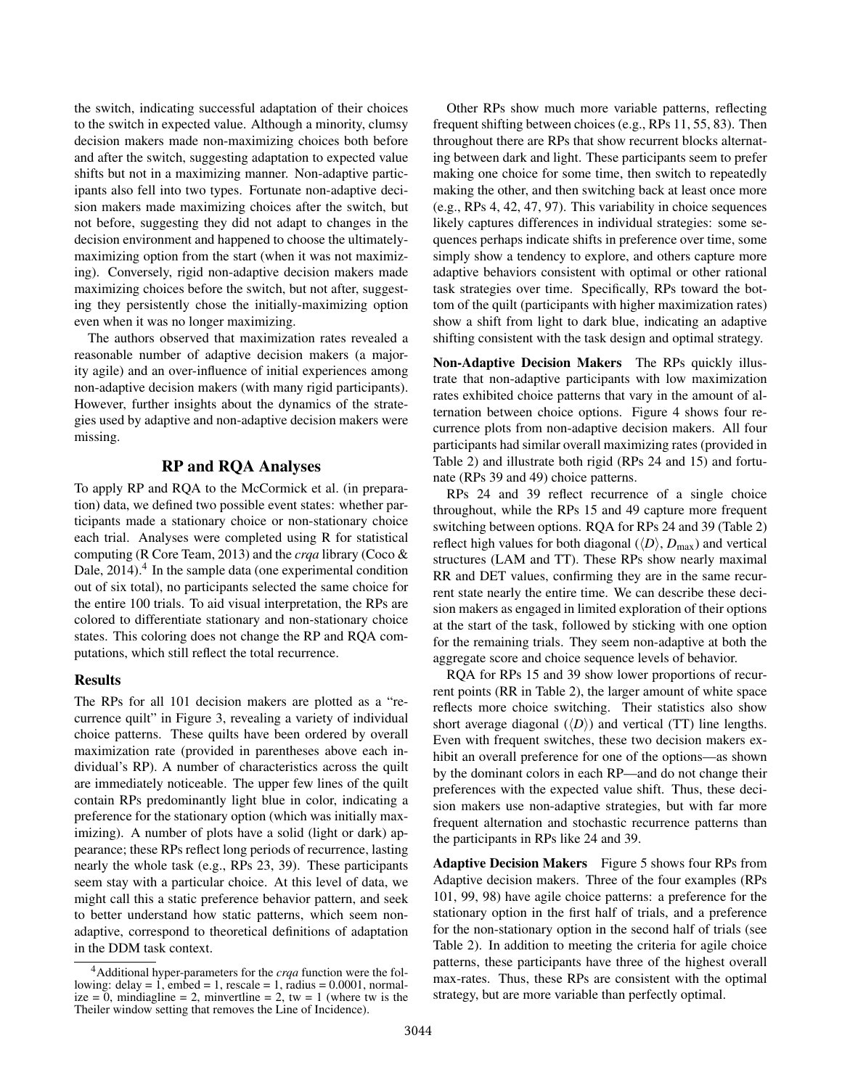the switch, indicating successful adaptation of their choices to the switch in expected value. Although a minority, clumsy decision makers made non-maximizing choices both before and after the switch, suggesting adaptation to expected value shifts but not in a maximizing manner. Non-adaptive participants also fell into two types. Fortunate non-adaptive decision makers made maximizing choices after the switch, but not before, suggesting they did not adapt to changes in the decision environment and happened to choose the ultimatelymaximizing option from the start (when it was not maximizing). Conversely, rigid non-adaptive decision makers made maximizing choices before the switch, but not after, suggesting they persistently chose the initially-maximizing option even when it was no longer maximizing.

The authors observed that maximization rates revealed a reasonable number of adaptive decision makers (a majority agile) and an over-influence of initial experiences among non-adaptive decision makers (with many rigid participants). However, further insights about the dynamics of the strategies used by adaptive and non-adaptive decision makers were missing.

## RP and RQA Analyses

To apply RP and RQA to the McCormick et al. (in preparation) data, we defined two possible event states: whether participants made a stationary choice or non-stationary choice each trial. Analyses were completed using R for statistical computing (R Core Team, 2013) and the *crqa* library (Coco & Dale, 2014).<sup>4</sup> In the sample data (one experimental condition out of six total), no participants selected the same choice for the entire 100 trials. To aid visual interpretation, the RPs are colored to differentiate stationary and non-stationary choice states. This coloring does not change the RP and RQA computations, which still reflect the total recurrence.

#### Results

The RPs for all 101 decision makers are plotted as a "recurrence quilt" in Figure 3, revealing a variety of individual choice patterns. These quilts have been ordered by overall maximization rate (provided in parentheses above each individual's RP). A number of characteristics across the quilt are immediately noticeable. The upper few lines of the quilt contain RPs predominantly light blue in color, indicating a preference for the stationary option (which was initially maximizing). A number of plots have a solid (light or dark) appearance; these RPs reflect long periods of recurrence, lasting nearly the whole task (e.g., RPs 23, 39). These participants seem stay with a particular choice. At this level of data, we might call this a static preference behavior pattern, and seek to better understand how static patterns, which seem nonadaptive, correspond to theoretical definitions of adaptation in the DDM task context.

Other RPs show much more variable patterns, reflecting frequent shifting between choices (e.g., RPs 11, 55, 83). Then throughout there are RPs that show recurrent blocks alternating between dark and light. These participants seem to prefer making one choice for some time, then switch to repeatedly making the other, and then switching back at least once more (e.g., RPs 4, 42, 47, 97). This variability in choice sequences likely captures differences in individual strategies: some sequences perhaps indicate shifts in preference over time, some simply show a tendency to explore, and others capture more adaptive behaviors consistent with optimal or other rational task strategies over time. Specifically, RPs toward the bottom of the quilt (participants with higher maximization rates) show a shift from light to dark blue, indicating an adaptive shifting consistent with the task design and optimal strategy.

Non-Adaptive Decision Makers The RPs quickly illustrate that non-adaptive participants with low maximization rates exhibited choice patterns that vary in the amount of alternation between choice options. Figure 4 shows four recurrence plots from non-adaptive decision makers. All four participants had similar overall maximizing rates (provided in Table 2) and illustrate both rigid (RPs 24 and 15) and fortunate (RPs 39 and 49) choice patterns.

RPs 24 and 39 reflect recurrence of a single choice throughout, while the RPs 15 and 49 capture more frequent switching between options. RQA for RPs 24 and 39 (Table 2) reflect high values for both diagonal  $(\langle D \rangle, D_{\text{max}})$  and vertical structures (LAM and TT). These RPs show nearly maximal RR and DET values, confirming they are in the same recurrent state nearly the entire time. We can describe these decision makers as engaged in limited exploration of their options at the start of the task, followed by sticking with one option for the remaining trials. They seem non-adaptive at both the aggregate score and choice sequence levels of behavior.

RQA for RPs 15 and 39 show lower proportions of recurrent points (RR in Table 2), the larger amount of white space reflects more choice switching. Their statistics also show short average diagonal  $\langle\langle D \rangle$  and vertical (TT) line lengths. Even with frequent switches, these two decision makers exhibit an overall preference for one of the options—as shown by the dominant colors in each RP—and do not change their preferences with the expected value shift. Thus, these decision makers use non-adaptive strategies, but with far more frequent alternation and stochastic recurrence patterns than the participants in RPs like 24 and 39.

Adaptive Decision Makers Figure 5 shows four RPs from Adaptive decision makers. Three of the four examples (RPs 101, 99, 98) have agile choice patterns: a preference for the stationary option in the first half of trials, and a preference for the non-stationary option in the second half of trials (see Table 2). In addition to meeting the criteria for agile choice patterns, these participants have three of the highest overall max-rates. Thus, these RPs are consistent with the optimal strategy, but are more variable than perfectly optimal.

<sup>4</sup>Additional hyper-parameters for the *crqa* function were the following: delay = 1, embed = 1, rescale = 1, radius =  $0.0001$ , normalize = 0, mindiagline = 2, minvertline = 2, tw = 1 (where tw is the Theiler window setting that removes the Line of Incidence).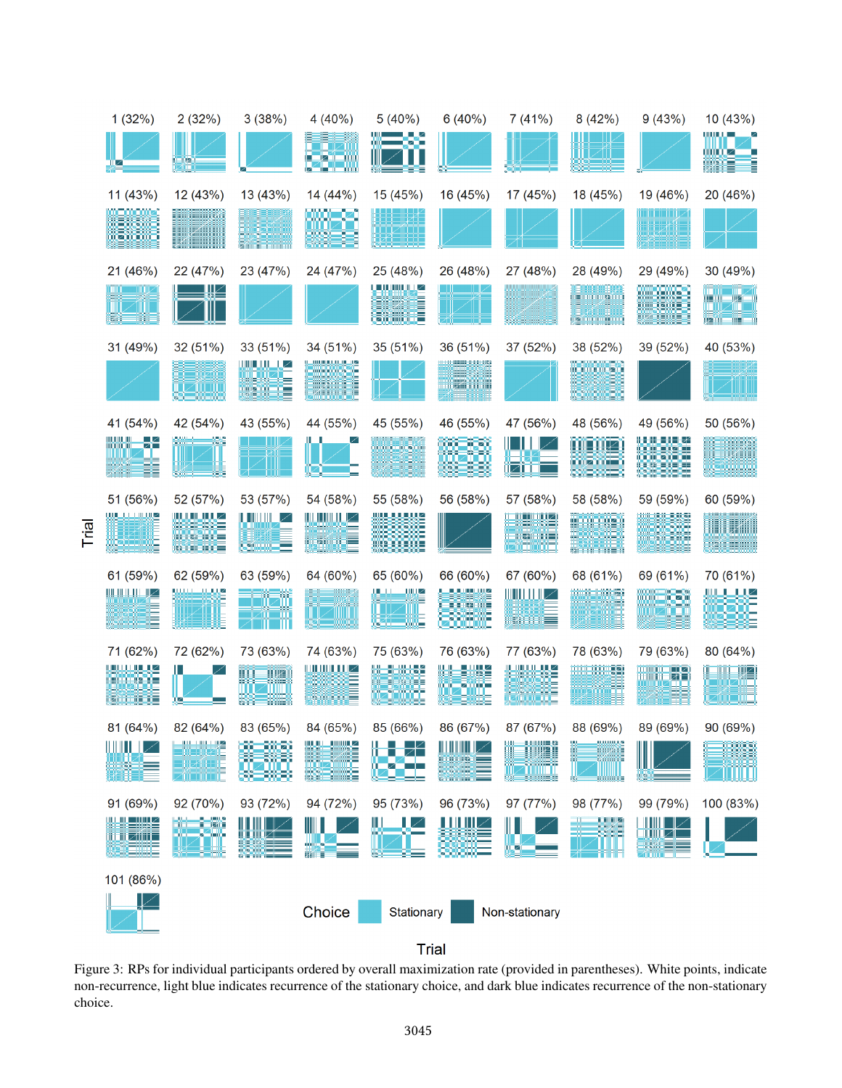

Trial

**Trial** 

Figure 3: RPs for individual participants ordered by overall maximization rate (provided in parentheses). White points, indicate non-recurrence, light blue indicates recurrence of the stationary choice, and dark blue indicates recurrence of the non-stationary choice.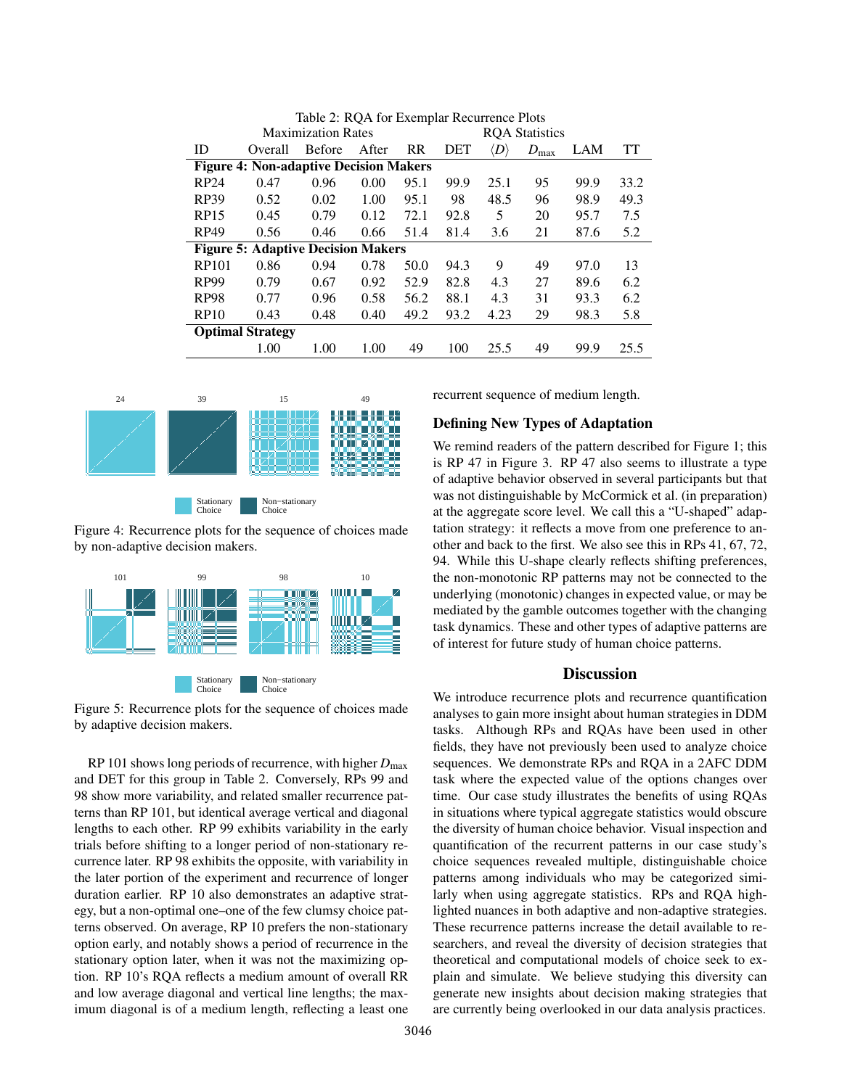| Table 2. KOA TOI EXCIIIpial Kecuricillec I foto |         |               |       |                       |      |                    |               |      |      |  |  |
|-------------------------------------------------|---------|---------------|-------|-----------------------|------|--------------------|---------------|------|------|--|--|
| <b>Maximization Rates</b>                       |         |               |       | <b>ROA</b> Statistics |      |                    |               |      |      |  |  |
| ID                                              | Overall | <b>Before</b> | After | <b>RR</b>             | DET  | $\langle D\rangle$ | $D_{\rm max}$ | LAM  | TT   |  |  |
| <b>Figure 4: Non-adaptive Decision Makers</b>   |         |               |       |                       |      |                    |               |      |      |  |  |
| RP24                                            | 0.47    | 0.96          | 0.00  | 95.1                  | 99.9 | 25.1               | 95            | 99.9 | 33.2 |  |  |
| RP39                                            | 0.52    | 0.02          | 1.00  | 95.1                  | 98   | 48.5               | 96            | 98.9 | 49.3 |  |  |
| RP15                                            | 0.45    | 0.79          | 0.12  | 72.1                  | 92.8 | 5                  | 20            | 95.7 | 7.5  |  |  |
| RP49                                            | 0.56    | 0.46          | 0.66  | 51.4                  | 81.4 | 3.6                | 21            | 87.6 | 5.2  |  |  |
| <b>Figure 5: Adaptive Decision Makers</b>       |         |               |       |                       |      |                    |               |      |      |  |  |
| RP101                                           | 0.86    | 0.94          | 0.78  | 50.0                  | 94.3 | 9                  | 49            | 97.0 | 13   |  |  |
| RP99                                            | 0.79    | 0.67          | 0.92  | 52.9                  | 82.8 | 4.3                | 27            | 89.6 | 6.2  |  |  |
| RP98                                            | 0.77    | 0.96          | 0.58  | 56.2                  | 88.1 | 4.3                | 31            | 93.3 | 6.2  |  |  |
| RP10                                            | 0.43    | 0.48          | 0.40  | 49.2                  | 93.2 | 4.23               | 29            | 98.3 | 5.8  |  |  |
| <b>Optimal Strategy</b>                         |         |               |       |                       |      |                    |               |      |      |  |  |
|                                                 | 1.00    | 1.00          | 1.00  | 49                    | 100  | 25.5               | 49            | 99.9 | 25.5 |  |  |

Table 2: RQA for Exemplar Recurrence Plots



Figure 4: Recurrence plots for the sequence of choices made by non-adaptive decision makers.



Figure 5: Recurrence plots for the sequence of choices made by adaptive decision makers.

RP 101 shows long periods of recurrence, with higher  $D_{\text{max}}$ and DET for this group in Table 2. Conversely, RPs 99 and 98 show more variability, and related smaller recurrence patterns than RP 101, but identical average vertical and diagonal lengths to each other. RP 99 exhibits variability in the early trials before shifting to a longer period of non-stationary recurrence later. RP 98 exhibits the opposite, with variability in the later portion of the experiment and recurrence of longer duration earlier. RP 10 also demonstrates an adaptive strategy, but a non-optimal one–one of the few clumsy choice patterns observed. On average, RP 10 prefers the non-stationary option early, and notably shows a period of recurrence in the stationary option later, when it was not the maximizing option. RP 10's RQA reflects a medium amount of overall RR and low average diagonal and vertical line lengths; the maximum diagonal is of a medium length, reflecting a least one recurrent sequence of medium length.

## Defining New Types of Adaptation

We remind readers of the pattern described for Figure 1; this is RP 47 in Figure 3. RP 47 also seems to illustrate a type of adaptive behavior observed in several participants but that was not distinguishable by McCormick et al. (in preparation) at the aggregate score level. We call this a "U-shaped" adaptation strategy: it reflects a move from one preference to another and back to the first. We also see this in RPs 41, 67, 72, 94. While this U-shape clearly reflects shifting preferences, the non-monotonic RP patterns may not be connected to the underlying (monotonic) changes in expected value, or may be mediated by the gamble outcomes together with the changing task dynamics. These and other types of adaptive patterns are of interest for future study of human choice patterns.

## **Discussion**

We introduce recurrence plots and recurrence quantification analyses to gain more insight about human strategies in DDM tasks. Although RPs and RQAs have been used in other fields, they have not previously been used to analyze choice sequences. We demonstrate RPs and RQA in a 2AFC DDM task where the expected value of the options changes over time. Our case study illustrates the benefits of using RQAs in situations where typical aggregate statistics would obscure the diversity of human choice behavior. Visual inspection and quantification of the recurrent patterns in our case study's choice sequences revealed multiple, distinguishable choice patterns among individuals who may be categorized similarly when using aggregate statistics. RPs and RQA highlighted nuances in both adaptive and non-adaptive strategies. These recurrence patterns increase the detail available to researchers, and reveal the diversity of decision strategies that theoretical and computational models of choice seek to explain and simulate. We believe studying this diversity can generate new insights about decision making strategies that are currently being overlooked in our data analysis practices.